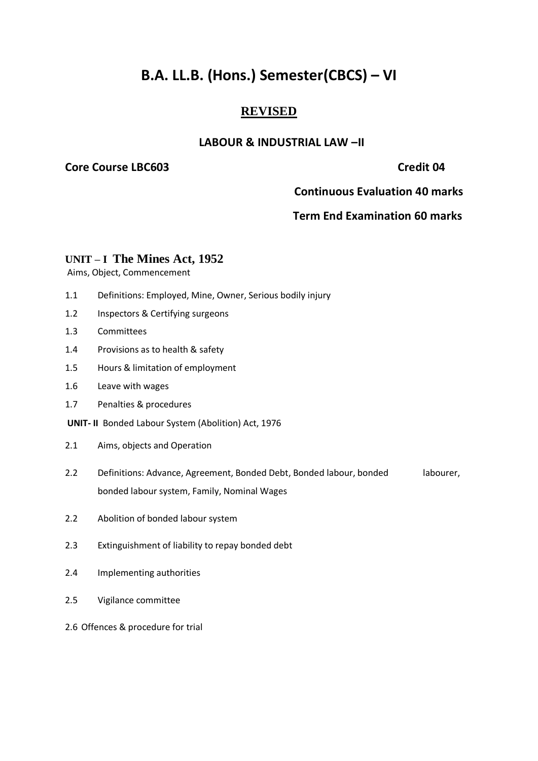# **B.A. LL.B. (Hons.) Semester(CBCS) – VI**

## **REVISED**

### **LABOUR & INDUSTRIAL LAW –II**

### **Core Course LBC603** Core Credit 04

 **Continuous Evaluation 40 marks**

### **Term End Examination 60 marks**

### **UNIT – I The Mines Act, 1952**

Aims, Object, Commencement

- 1.1 Definitions: Employed, Mine, Owner, Serious bodily injury
- 1.2 Inspectors & Certifying surgeons
- 1.3 Committees
- 1.4 Provisions as to health & safety
- 1.5 Hours & limitation of employment
- 1.6 Leave with wages
- 1.7 Penalties & procedures

**UNIT- II** Bonded Labour System (Abolition) Act, 1976

- 2.1 Aims, objects and Operation
- 2.2 Definitions: Advance, Agreement, Bonded Debt, Bonded labour, bonded labourer, bonded labour system, Family, Nominal Wages
- 2.2 Abolition of bonded labour system
- 2.3 Extinguishment of liability to repay bonded debt
- 2.4 Implementing authorities
- 2.5 Vigilance committee
- 2.6 Offences & procedure for trial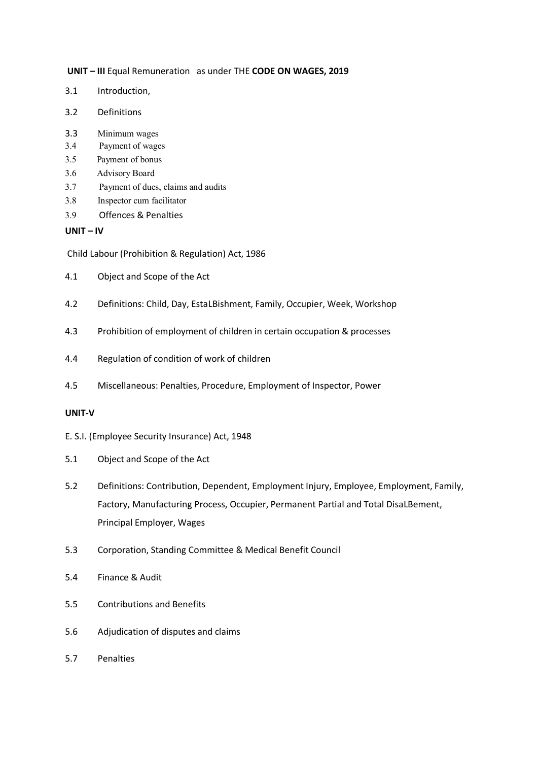**UNIT – III** Equal Remuneration as under THE **CODE ON WAGES, 2019**

- 3.1 Introduction,
- 3.2 Definitions
- 3.3 Minimum wages
- 3.4 Payment of wages
- 3.5 Payment of bonus
- 3.6 Advisory Board
- 3.7 Payment of dues, claims and audits
- 3.8 Inspector cum facilitator
- 3.9 Offences & Penalties

**UNIT – IV**

Child Labour (Prohibition & Regulation) Act, 1986

- 4.1 Object and Scope of the Act
- 4.2 Definitions: Child, Day, EstaLBishment, Family, Occupier, Week, Workshop
- 4.3 Prohibition of employment of children in certain occupation & processes
- 4.4 Regulation of condition of work of children
- 4.5 Miscellaneous: Penalties, Procedure, Employment of Inspector, Power

### **UNIT-V**

- E. S.I. (Employee Security Insurance) Act, 1948
- 5.1 Object and Scope of the Act
- 5.2 Definitions: Contribution, Dependent, Employment Injury, Employee, Employment, Family, Factory, Manufacturing Process, Occupier, Permanent Partial and Total DisaLBement, Principal Employer, Wages
- 5.3 Corporation, Standing Committee & Medical Benefit Council
- 5.4 Finance & Audit
- 5.5 Contributions and Benefits
- 5.6 Adjudication of disputes and claims
- 5.7 Penalties